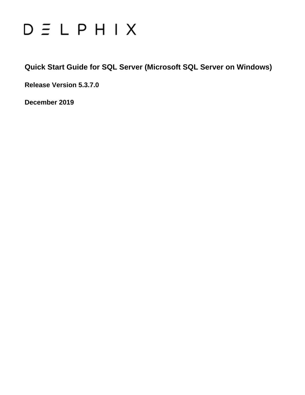# $D \equiv L$   $P$   $H$   $I$   $X$

**Quick Start Guide for SQL Server (Microsoft SQL Server on Windows)**

**Release Version 5.3.7.0**

**December 2019**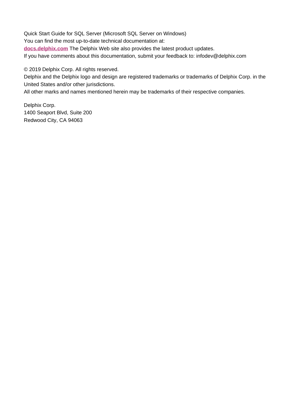Quick Start Guide for SQL Server (Microsoft SQL Server on Windows) You can find the most up-to-date technical documentation at: **[docs.delphix.com](http://docs.delphix.com)** The Delphix Web site also provides the latest product updates. If you have comments about this documentation, submit your feedback to: infodev@delphix.com

© 2019 Delphix Corp. All rights reserved.

Delphix and the Delphix logo and design are registered trademarks or trademarks of Delphix Corp. in the United States and/or other jurisdictions.

All other marks and names mentioned herein may be trademarks of their respective companies.

Delphix Corp. 1400 Seaport Blvd, Suite 200 Redwood City, CA 94063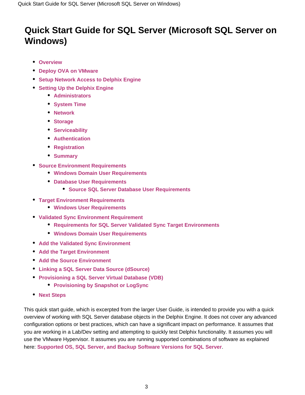## **Quick Start Guide for SQL Server (Microsoft SQL Server on Windows)**

- **[Overview](#page-2-0)**
- **[Deploy OVA on VMware](#page-3-0)**
- **[Setup Network Access to Delphix Engine](#page-4-0)**
- **[Setting Up the Delphix Engine](#page-6-0)** 
	- **[Administrators](#page-7-0)**
	- **[System Time](#page-7-1)**
	- **[Network](#page-7-2)**
	- **[Storage](#page-8-0)**
	- **[Serviceability](#page-8-1)**
	- **[Authentication](#page-8-2)**
	- **[Registration](#page-8-3)**
	- **[Summary](#page-9-0)**
- **[Source Environment Requirements](#page-9-1)**
	- **[Windows Domain User Requirements](#page-10-0)**
	- **[Database User Requirements](#page-11-0)**
		- **[Source SQL Server Database User Requirements](#page-11-1)**
- **[Target Environment Requirements](#page-11-2)**
	- **[Windows User Requirements](#page-13-0)**
- **[Validated Sync Environment Requirement](#page-13-1)**
	- **[Requirements for SQL Server Validated Sync Target Environments](#page-14-0)**
	- **[Windows Domain User Requirements](#page-14-1)**
- **[Add the Validated Sync Environment](#page-14-2)**
- **[Add the Target Environment](#page-15-0)**
- **[Add the Source Environment](#page-16-0)**
- **[Linking a SQL Server Data Source \(dSource\)](#page-17-0)**
- **[Provisioning a SQL Server Virtual Database \(VDB\)](#page-21-0)**
	- **[Provisioning by Snapshot or LogSync](#page-22-0)**
- **[Next Steps](#page-22-1)**

<span id="page-2-0"></span>This quick start guide, which is excerpted from the larger User Guide, is intended to provide you with a quick overview of working with SQL Server database objects in the Delphix Engine. It does not cover any advanced configuration options or best practices, which can have a significant impact on performance. It assumes that you are working in a Lab/Dev setting and attempting to quickly test Delphix functionality. It assumes you will use the VMware Hypervisor. It assumes you are running supported combinations of software as explained here: **[Supported OS, SQL Server, and Backup Software Versions for SQL Server](https://docs.delphix.com/display/DOCS537/Supported+OS%2C+SQL+Server%2C+and+Backup+Software+Versions+for+SQL+Server)**.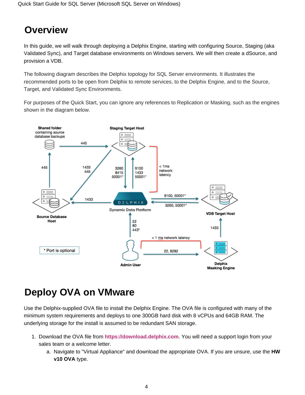## **Overview**

In this guide, we will walk through deploying a Delphix Engine, starting with configuring Source, Staging (aka Validated Sync), and Target database environments on Windows servers. We will then create a dSource, and provision a VDB.

The following diagram describes the Delphix topology for SQL Server environments. It illustrates the recommended ports to be open from Delphix to remote services, to the Delphix Engine, and to the Source, Target, and Validated Sync Environments.

For purposes of the Quick Start, you can ignore any references to Replication or Masking, such as the engines shown in the diagram below.



## <span id="page-3-0"></span>**Deploy OVA on VMware**

Use the Delphix-supplied OVA file to install the Delphix Engine. The OVA file is configured with many of the minimum system requirements and deploys to one 300GB hard disk with 8 vCPUs and 64GB RAM. The underlying storage for the install is assumed to be redundant SAN storage.

- 1. Download the OVA file from **<https://download.delphix.com>**. You will need a support login from your sales team or a welcome letter.
	- a. Navigate to "Virtual Appliance" and download the appropriate OVA. If you are unsure, use the **HW v10 OVA** type.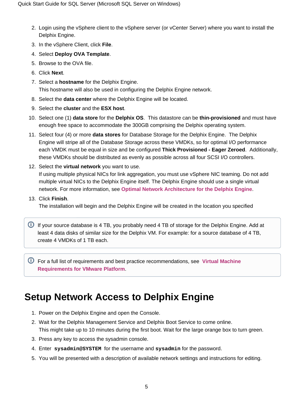- 2. Login using the vSphere client to the vSphere server (or vCenter Server) where you want to install the Delphix Engine.
- 3. In the vSphere Client, click **File**.
- 4. Select **Deploy OVA Template**.
- 5. Browse to the OVA file.
- 6. Click **Next**.
- 7. Select a **hostname** for the Delphix Engine. This hostname will also be used in configuring the Delphix Engine network.
- 8. Select the **data center** where the Delphix Engine will be located.
- 9. Select the **cluster** and the **ESX host**.
- 10. Select one (1) **data store** for the **Delphix OS**. This datastore can be **thin-provisioned** and must have enough free space to accommodate the 300GB comprising the Delphix operating system.
- 11. Select four (4) or more **data stores** for Database Storage for the Delphix Engine. The Delphix Engine will stripe all of the Database Storage across these VMDKs, so for optimal I/O performance each VMDK must be equal in size and be configured **Thick Provisioned - Eager Zeroed**. Additionally, these VMDKs should be distributed as evenly as possible across all four SCSI I/O controllers.
- 12. Select the **virtual network** you want to use.

If using multiple physical NICs for link aggregation, you must use vSphere NIC teaming. Do not add multiple virtual NICs to the Delphix Engine itself. The Delphix Engine should use a single virtual network. For more information, see **[Optimal Network Architecture for the Delphix Engine](https://docs.delphix.com/display/DOCS537/Optimal+Network+Architecture+for+the+Delphix+Engine)**.

13. Click **Finish**.

The installation will begin and the Delphix Engine will be created in the location you specified

**If your source database is 4 TB, you probably need 4 TB of storage for the Delphix Engine. Add at** least 4 data disks of similar size for the Delphix VM. For example: for a source database of 4 TB, create 4 VMDKs of 1 TB each.

For a full list of requirements and best practice recommendations, see **[Virtual Machine](https://docs.delphix.com/display/DOCS537/Virtual+Machine+Requirements+for+VMware+Platform)  [Requirements for VMware Platform](https://docs.delphix.com/display/DOCS537/Virtual+Machine+Requirements+for+VMware+Platform)**.

## <span id="page-4-0"></span>**Setup Network Access to Delphix Engine**

- 1. Power on the Delphix Engine and open the Console.
- 2. Wait for the Delphix Management Service and Delphix Boot Service to come online. This might take up to 10 minutes during the first boot. Wait for the large orange box to turn green.
- 3. Press any key to access the sysadmin console.
- 4. Enter **sysadmin@SYSTEM** for the username and **sysadmin** for the password.
- 5. You will be presented with a description of available network settings and instructions for editing.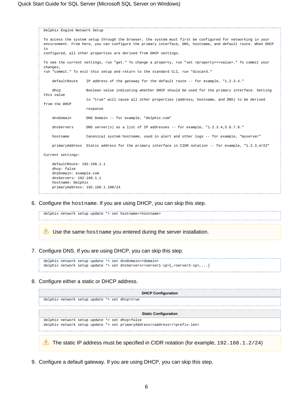```
Delphix Engine Network Setup
To access the system setup through the browser, the system must first be configured for networking in your
environment. From here, you can configure the primary interface, DNS, hostname, and default route. When DHCP 
is
configured, all other properties are derived from DHCP settings.
To see the current settings, run "get." To change a property, run "set <property>=<value>." To commit your 
changes,
run "commit." To exit this setup and return to the standard CLI, run "discard."
     defaultRoute IP address of the gateway for the default route -- for example, "1.2.3.4."
     dhcp Boolean value indicating whether DHCP should be used for the primary interface. Setting 
this value
                     to "true" will cause all other properties (address, hostname, and DNS) to be derived 
from the DHCP
                    response
     dnsDomain DNS Domain -- for example, "delphix.com"
    dnsServers DNS server(s) as a list of IP addresses -- for example, "1.2.3.4,5.6.7.8."
     hostname Canonical system hostname, used in alert and other logs -- for example, "myserver"
     primaryAddress Static address for the primary interface in CIDR notation -- for example, "1.2.3.4/22"
Current settings:
     defaultRoute: 192.168.1.1
     dhcp: false
     dnsDomain: example.com
    dnsServers: 192.168.1.1
    hostname: Delphix
     primaryAddress: 192.168.1.100/24
```
6. Configure the hostname. If you are using DHCP, you can skip this step.

delphix network setup update \*> set hostname=<hostname>

Use the same hostname you entered during the server installation.

7. Configure DNS. If you are using DHCP, you can skip this step.

```
delphix network setup update *> set dnsDomain=<domain>
delphix network setup update *> set dnsServers=<server1-ip>[,<server2-ip>,...]
```
8. Configure either a static or DHCP address.

| <b>DHCP Configuration</b>                                                                         |
|---------------------------------------------------------------------------------------------------|
| delphix network setup update *> set dhcp=true                                                     |
|                                                                                                   |
| <b>Static Configuration</b>                                                                       |
| delphix network setup update *> set dhcp=false                                                    |
| delphix network setup update *> set primaryAddress= <address>/<prefix-len></prefix-len></address> |
|                                                                                                   |
| The static IP address must be specified in CIDR notation (for example, $192.168.1.2/24$ )         |

9. Configure a default gateway. If you are using DHCP, you can skip this step.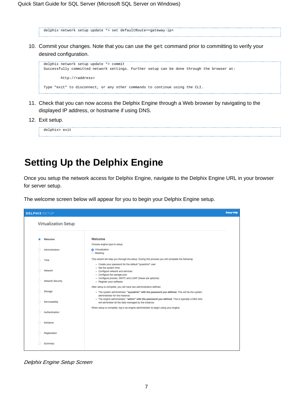delphix network setup update \*> set defaultRoute=<gateway-ip> 

10. Commit your changes. Note that you can use the get command prior to committing to verify your desired configuration.

```
delphix network setup update *> commit
Successfully committed network settings. Further setup can be done through the browser at:
        http://<address>
Type "exit" to disconnect, or any other commands to continue using the CLI.
```
- 11. Check that you can now access the Delphix Engine through a Web browser by navigating to the displayed IP address, or hostname if using DNS.
- 12. Exit setup.

delphix> exit

## <span id="page-6-0"></span>**Setting Up the Delphix Engine**

Once you setup the network access for Delphix Engine, navigate to the Delphix Engine URL in your browser for server setup.

The welcome screen below will appear for you to begin your Delphix Engine setup.



Delphix Engine Setup Screen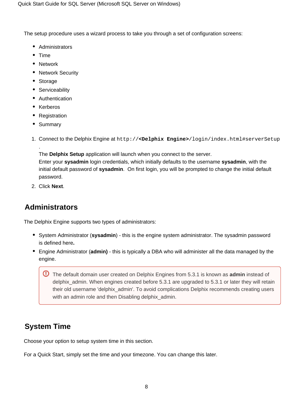The setup procedure uses a wizard process to take you through a set of configuration screens:

- Administrators
- $•$  Time
- Network
- Network Security
- Storage
- Serviceability
- Authentication
- Kerberos
- Registration
- Summary

.

1. Connect to the Delphix Engine at http://**<Delphix Engine>**/login/index.html#serverSetup

The **Delphix Setup** application will launch when you connect to the server. Enter your **sysadmin** login credentials, which initially defaults to the username **sysadmin**, with the

initial default password of **sysadmin**. On first login, you will be prompted to change the initial default password.

2. Click **Next**.

### <span id="page-7-0"></span>**Administrators**

The Delphix Engine supports two types of administrators:

- System Administrator (**sysadmin**) this is the engine system administrator. The sysadmin password is defined here**.**
- Engine Administrator (**admin)**  this is typically a DBA who will administer all the data managed by the engine.

The default domain user created on Delphix Engines from 5.3.1 is known as **admin** instead of delphix\_admin. When engines created before 5.3.1 are upgraded to 5.3.1 or later they will retain their old username 'delphix\_admin'. To avoid complications Delphix recommends creating users with an admin role and then Disabling delphix\_admin.

### <span id="page-7-1"></span>**System Time**

Choose your option to setup system time in this section.

<span id="page-7-2"></span>For a Quick Start, simply set the time and your timezone. You can change this later.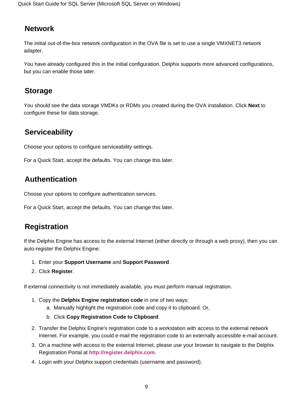### **Network**

The initial out-of-the-box network configuration in the OVA file is set to use a single VMXNET3 network adapter.

You have already configured this in the initial configuration. Delphix supports more advanced configurations, but you can enable those later.

### <span id="page-8-0"></span>**Storage**

You should see the data storage VMDKs or RDMs you created during the OVA installation. Click **Next** to configure these for data storage.

### <span id="page-8-1"></span>**Serviceability**

Choose your options to configure serviceability settings.

For a Quick Start, accept the defaults. You can change this later.

## <span id="page-8-2"></span>**Authentication**

Choose your options to configure authentication services.

For a Quick Start, accept the defaults. You can change this later.

### <span id="page-8-3"></span>**Registration**

If the Delphix Engine has access to the external Internet (either directly or through a web proxy), then you can auto-register the Delphix Engine:

- 1. Enter your **Support Username** and **Support Password**.
- 2. Click **Register**.

If external connectivity is not immediately available, you must perform manual registration.

- 1. Copy the **Delphix Engine registration code** in one of two ways:
	- a. Manually highlight the registration code and copy it to clipboard. Or,
	- b. Click **Copy Registration Code to Clipboard**.
- 2. Transfer the Delphix Engine's registration code to a workstation with access to the external network Internet. For example, you could e-mail the registration code to an externally accessible e-mail account.
- 3. On a machine with access to the external Internet, please use your browser to navigate to the Delphix Registration Portal at **[http://register.delphix.com](http://register.delphix.com/)**.
- 4. Login with your Delphix support credentials (username and password).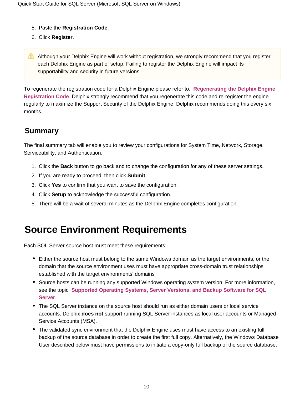- 5. Paste the **Registration Code**.
- 6. Click **Register**.
- Although your Delphix Engine will work without registration, we strongly recommend that you register each Delphix Engine as part of setup. Failing to register the Delphix Engine will impact its supportability and security in future versions.

To regenerate the registration code for a Delphix Engine please refer to, **[Regenerating the Delphix Engine](https://docs.delphix.com/display/DOCS537/Regenerating+the+Delphix+Engine+Registration+Code)  [Registration Code](https://docs.delphix.com/display/DOCS537/Regenerating+the+Delphix+Engine+Registration+Code)**. Delphix strongly recommend that you regenerate this code and re-register the engine regularly to maximize the Support Security of the Delphix Engine. Delphix recommends doing this every six months.

### <span id="page-9-0"></span>**Summary**

The final summary tab will enable you to review your configurations for System Time, Network, Storage, Serviceability, and Authentication.

- 1. Click the **Back** button to go back and to change the configuration for any of these server settings.
- 2. If you are ready to proceed, then click **Submit**.
- 3. Click **Yes** to confirm that you want to save the configuration.
- 4. Click **Setup** to acknowledge the successful configuration.
- 5. There will be a wait of several minutes as the Delphix Engine completes configuration.

## <span id="page-9-1"></span>**Source Environment Requirements**

Each SQL Server source host must meet these requirements:

- Either the source host must belong to the same Windows domain as the target environments, or the domain that the source environment uses must have appropriate cross-domain trust relationships established with the target environments' domains
- Source hosts can be running any supported Windows operating system version. For more information, see the topic **[Supported Operating Systems, Server Versions, and Backup Software for SQL](https://docs.delphix.com/display/DOCS537/Supported+OS%2C+SQL+Server%2C+and+Backup+Software+Versions+for+SQL+Server)  [Server](https://docs.delphix.com/display/DOCS537/Supported+OS%2C+SQL+Server%2C+and+Backup+Software+Versions+for+SQL+Server)**.
- The SQL Server instance on the source host should run as either domain users or local service accounts. Delphix **does not** support running SQL Server instances as local user accounts or Managed Service Accounts (MSA).
- The validated sync environment that the Delphix Engine uses must have access to an existing full backup of the source database in order to create the first full copy. Alternatively, the Windows Database User described below must have permissions to initiate a copy-only full backup of the source database.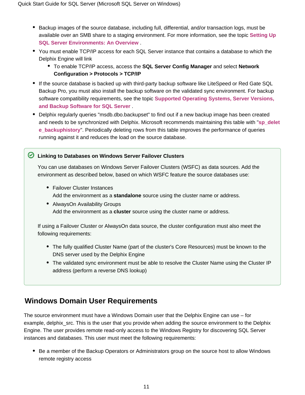- Backup images of the source database, including full, differential, and/or transaction logs, must be available over an SMB share to a staging environment. For more information, see the topic **[Setting Up](https://docs.delphix.com/display/DOCS537/Overview+of+Setting+Up+SQL+Server+Environments)  [SQL Server Environments: An Overview](https://docs.delphix.com/display/DOCS537/Overview+of+Setting+Up+SQL+Server+Environments)** .
- You must enable TCP/IP access for each SQL Server instance that contains a database to which the Delphix Engine will link
	- To enable TCP/IP access, access the **SQL Server Config Manager** and select **Network Configuration > Protocols > TCP/IP**
- If the source database is backed up with third-party backup software like LiteSpeed or Red Gate SQL Backup Pro, you must also install the backup software on the validated sync environment. For backup software compatibility requirements, see the topic **[Supported Operating Systems, Server Versions,](https://docs.delphix.com/display/DOCS537/Supported+OS%2C+SQL+Server%2C+and+Backup+Software+Versions+for+SQL+Server)  [and Backup Software for SQL Server](https://docs.delphix.com/display/DOCS537/Supported+OS%2C+SQL+Server%2C+and+Backup+Software+Versions+for+SQL+Server)** .
- Delphix regularly queries "msdb.dbo.backupset" to find out if a new backup image has been created and needs to be synchronized with Delphix. Microsoft recommends maintaining this table with "**[sp\\_delet](https://technet.microsoft.com/en-US/library/ms186299(v=SQL.110).aspx) [e\\_backuphistory](https://technet.microsoft.com/en-US/library/ms186299(v=SQL.110).aspx)**". Periodically deleting rows from this table improves the performance of queries running against it and reduces the load on the source database.

#### **Linking to Databases on Windows Server Failover Clusters**

You can use databases on Windows Server Failover Clusters (WSFC) as data sources. Add the environment as described below, based on which WSFC feature the source databases use:

- Failover Cluster Instances Add the environment as a **standalone** source using the cluster name or address.
- AlwaysOn Availability Groups Add the environment as a **cluster** source using the cluster name or address.

If using a Failover Cluster or AlwaysOn data source, the cluster configuration must also meet the following requirements:

- The fully qualified Cluster Name (part of the cluster's Core Resources) must be known to the DNS server used by the Delphix Engine
- The validated sync environment must be able to resolve the Cluster Name using the Cluster IP address (perform a reverse DNS lookup)

### <span id="page-10-0"></span>**Windows Domain User Requirements**

The source environment must have a Windows Domain user that the Delphix Engine can use – for example, delphix\_src. This is the user that you provide when adding the source environment to the Delphix Engine. The user provides remote read-only access to the Windows Registry for discovering SQL Server instances and databases. This user must meet the following requirements:

• Be a member of the Backup Operators or Administrators group on the source host to allow Windows remote registry access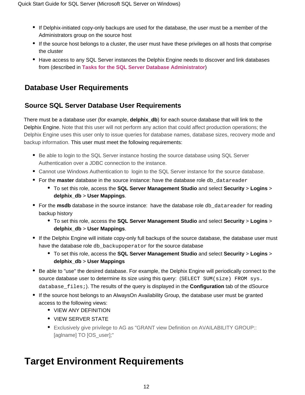- If Delphix-initiated copy-only backups are used for the database, the user must be a member of the Administrators group on the source host
- If the source host belongs to a cluster, the user must have these privileges on all hosts that comprise the cluster
- Have access to any SQL Server instances the Delphix Engine needs to discover and link databases from (described in **[Tasks for the SQL Server Database Administrator](https://docs.delphix.com/display/DOCS537/Tasks+for+the+SQL+Server+Database+Administrator)**)

### <span id="page-11-0"></span>**Database User Requirements**

### <span id="page-11-1"></span>**Source SQL Server Database User Requirements**

There must be a database user (for example, **delphix db**) for each source database that will link to the Delphix Engine. Note that this user will not perform any action that could affect production operations; the Delphix Engine uses this user only to issue queries for database names, database sizes, recovery mode and backup information. This user must meet the following requirements:

- **Be able to login to the SQL Server instance hosting the source database using SQL Server** Authentication over a JDBC connection to the instance.
- Cannot use Windows Authentication to login to the SQL Server instance for the source database.
- For the **master** database in the source instance: have the database role db\_datareader
	- To set this role, access the **SQL Server Management Studio** and select **Security** > **Logins** > **delphix\_db** > **User Mappings**.
- For the msdb database in the source instance: have the database role db\_datareader for reading backup history
	- To set this role, access the **SQL Server Management Studio** and select **Security** > **Logins** > **delphix\_db** > **User Mappings**.
- If the Delphix Engine will initiate copy-only full backups of the source database, the database user must have the database role db backupoperator for the source database
	- To set this role, access the **SQL Server Management Studio** and select **Security** > **Logins** > **delphix\_db** > **User Mappings**
- Be able to "use" the desired database. For example, the Delphix Engine will periodically connect to the source database user to determine its size using this query: (SELECT SUM(size) FROM sys. database\_files;). The results of the query is displayed in the **Configuration** tab of the dSource
- If the source host belongs to an AlwaysOn Availability Group, the database user must be granted access to the following views:
	- VIEW ANY DEFINITION
	- VIEW SERVER STATE
	- Exclusively give privilege to AG as "GRANT view Definition on AVAILABILITY GROUP:: [aglname] TO [OS\_user];"

## <span id="page-11-2"></span>**Target Environment Requirements**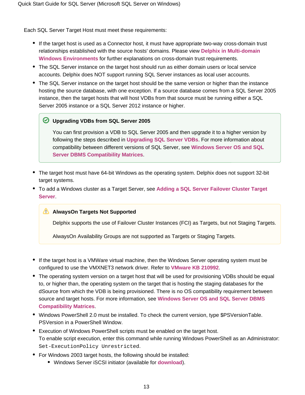Each SQL Server Target Host must meet these requirements:

- If the target host is used as a Connector host, it must have appropriate two-way cross-domain trust relationships established with the source hosts' domains. Please view **[Delphix in Multi-domain](https://docs.delphix.com/display/DOCS537/Delphix+in+Multi-domain+Windows+Environments)  [Windows Environments](https://docs.delphix.com/display/DOCS537/Delphix+in+Multi-domain+Windows+Environments)** for further explanations on cross-domain trust requirements.
- The SQL Server instance on the target host should run as either domain users or local service accounts. Delphix does NOT support running SQL Server instances as local user accounts.
- The SQL Server instance on the target host should be the same version or higher than the instance hosting the source database, with one exception. If a source database comes from a SQL Server 2005 instance, then the target hosts that will host VDBs from that source must be running either a SQL Server 2005 instance or a SQL Server 2012 instance or higher.

#### **Upgrading VDBs from SQL Server 2005**

You can first provision a VDB to SQL Server 2005 and then upgrade it to a higher version by following the steps described in **[Upgrading SQL Server VDBs](http://docs.delphix.com/display/DOCSDEV/Upgrading+SQL+Server+VDBs)**. For more information about compatibility between different versions of SQL Server, see **[Windows Server OS and SQL](https://docs.delphix.com/display/DOCS537/Windows+Server+OS+and+SQL+Server+DBMS+Compatibility+Matrices)  [Server DBMS Compatibility Matrices](https://docs.delphix.com/display/DOCS537/Windows+Server+OS+and+SQL+Server+DBMS+Compatibility+Matrices)**.

- The target host must have 64-bit Windows as the operating system. Delphix does not support 32-bit target systems.
- To add a Windows cluster as a Target Server, see **[Adding a SQL Server Failover Cluster Target](http://docs.delphix.com/display/DOCSDEV/Adding+a+SQL+Server+Failover+Cluster+Target+Environment)  [Server](http://docs.delphix.com/display/DOCSDEV/Adding+a+SQL+Server+Failover+Cluster+Target+Environment)**.

#### **AlwaysOn Targets Not Supported**

Delphix supports the use of Failover Cluster Instances (FCI) as Targets, but not Staging Targets.

AlwaysOn Availability Groups are not supported as Targets or Staging Targets.

- If the target host is a VMWare virtual machine, then the Windows Server operating system must be configured to use the VMXNET3 network driver. Refer to **[VMware KB 210992](https://kb.vmware.com/selfservice/microsites/search.do?cmd=displayKC&docType=kc&externalId=2109922&sliceId=1&docTypeID=DT_KB_1_1&dialogID=99409599&stateId=1%200%20107668471)**.
- The operating system version on a target host that will be used for provisioning VDBs should be equal to, or higher than, the operating system on the target that is hosting the staging databases for the dSource from which the VDB is being provisioned. There is no OS compatibility requirement between source and target hosts. For more information, see **[Windows Server OS and SQL Server DBMS](https://docs.delphix.com/display/DOCS537/Windows+Server+OS+and+SQL+Server+DBMS+Compatibility+Matrices)  [Compatibility Matrices](https://docs.delphix.com/display/DOCS537/Windows+Server+OS+and+SQL+Server+DBMS+Compatibility+Matrices)**.
- Windows PowerShell 2.0 must be installed. To check the current version, type \$PSVersionTable. PSVersion in a PowerShell Window.
- Execution of Windows PowerShell scripts must be enabled on the target host. To enable script execution, enter this command while running Windows PowerShell as an Administrator: Set-ExecutionPolicy Unrestricted.
- For Windows 2003 target hosts, the following should be installed:
	- Windows Server iSCSI initiator (available for **[download](http://www.microsoft.com/en-us/download/details.aspx?id=18986)**).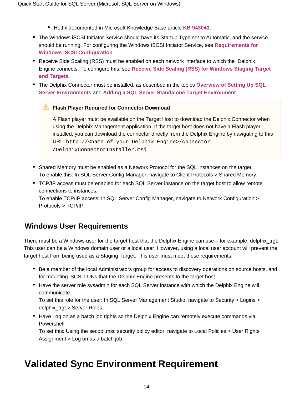- Hotfix documented in Microsoft Knowledge Base article **[KB 943043](http://support.microsoft.com/kb/943043)**.
- The Windows iSCSI Initiator Service should have its Startup Type set to Automatic, and the service should be running. For configuring the Windows iSCSI Initiator Service, see **[Requirements for](https://docs.delphix.com/display/DOCS537/Requirements+for+Windows+iSCSI+Configuration)  [Windows iSCSI Configuration](https://docs.delphix.com/display/DOCS537/Requirements+for+Windows+iSCSI+Configuration)**.
- Receive Side Scaling (RSS) must be enabled on each network interface to which the Delphix Engine connects. To configure this, see **[Receive Side Scaling \(RSS\) for Windows Staging Target](https://docs.delphix.com/display/DOCSDEV/Receive+Side+Scaling+%28RSS%29+for+Windows+Staging+Target+and+Targets)  [and Targets](https://docs.delphix.com/display/DOCSDEV/Receive+Side+Scaling+%28RSS%29+for+Windows+Staging+Target+and+Targets)**.
- The Delphix Connector must be installed, as described in the topics **[Overview of Setting Up SQL](https://docs.delphix.com/display/DOCS537/Overview+of+Setting+Up+SQL+Server+Environments)  [Server Environments](https://docs.delphix.com/display/DOCS537/Overview+of+Setting+Up+SQL+Server+Environments)** and **[Adding a SQL Server Standalone Target Environment](https://docs.delphix.com/display/DOCS537/Adding+a+SQL+Server+Standalone+Target+Environment)**.

#### **Flash Player Required for Connector Download**

A Flash player must be available on the Target Host to download the Delphix Connector when using the Delphix Management application. If the target host does not have a Flash player installed, you can download the connector directly from the Delphix Engine by navigating to this URL: http://<name of your Delphix Engine>/connector /DelphixConnectorInstaller.msi

- Shared Memory must be enabled as a Network Protocol for the SQL instances on the target. To enable this: In SQL Server Config Manager, navigate to Client Protocols > Shared Memory.
- TCP/IP access must be enabled for each SQL Server instance on the target host to allow remote connections to instances.

To enable TCP/IP access: In SQL Server Config Manager, navigate to Network Configuration > Protocols > TCP/IP.

### <span id="page-13-0"></span>**Windows User Requirements**

There must be a Windows user for the target host that the Delphix Engine can use – for example, delphix\_trgt. This user can be a Windows domain user or a local user. However, using a local user account will prevent the target host from being used as a Staging Target. This user must meet these requirements:

- Be a member of the local Administrators group for access to discovery operations on source hosts, and for mounting iSCSI LUNs that the Delphix Engine presents to the target host.
- Have the server role sysadmin for each SQL Server instance with which the Delphix Engine will communicate.

To set this role for the user: In SQL Server Management Studio, navigate to Security > Logins > delphix trgt > Server Roles.

• Have Log on as a batch job rights so the Delphix Engine can remotely execute commands via Powershell

To set this: Using the secpol.msc security policy editor, navigate to Local Policies > User Rights Assignment > Log on as a batch job.

## <span id="page-13-1"></span>**Validated Sync Environment Requirement**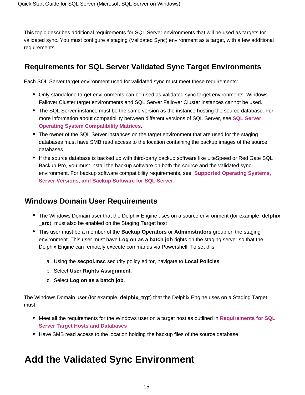This topic describes additional requirements for SQL Server environments that will be used as targets for validated sync. You must configure a staging (Validated Sync) environment as a target, with a few additional requirements.

### <span id="page-14-0"></span>**Requirements for SQL Server Validated Sync Target Environments**

Each SQL Server target environment used for validated sync must meet these requirements:

- Only standalone target environments can be used as validated sync target environments. Windows Failover Cluster target environments and SQL Server Failover Cluster instances cannot be used.
- The SQL Server instance must be the same version as the instance hosting the source database. For more information about compatibility between different versions of SQL Server, see **[SQL Server](https://docs.delphix.com/display/DOCS537/Windows+Server+OS+and+SQL+Server+DBMS+Compatibility+Matrices)  [Operating System Compatibility Matrices](https://docs.delphix.com/display/DOCS537/Windows+Server+OS+and+SQL+Server+DBMS+Compatibility+Matrices)**.
- The owner of the SQL Server instances on the target environment that are used for the staging databases must have SMB read access to the location containing the backup images of the source databases
- If the source database is backed up with third-party backup software like LiteSpeed or Red Gate SQL Backup Pro, you must install the backup software on both the source and the validated sync environment. For backup software compatibility requirements, see **[Supported Operating Systems,](https://docs.delphix.com/display/DOCS537/Supported+OS%2C+SQL+Server%2C+and+Backup+Software+Versions+for+SQL+Server)  [Server Versions, and Backup Software for SQL Server](https://docs.delphix.com/display/DOCS537/Supported+OS%2C+SQL+Server%2C+and+Backup+Software+Versions+for+SQL+Server)**.

### <span id="page-14-1"></span>**Windows Domain User Requirements**

- The Windows Domain user that the Delphix Engine uses on a source environment (for example, **delphix \_src**) must also be enabled on the Staging Target host
- This user must be a member of the **Backup Operators** or **Administrators** group on the staging environment. This user must have **Log on as a batch job** rights on the staging server so that the Delphix Engine can remotely execute commands via Powershell. To set this:
	- a. Using the **secpol.msc** security policy editor, navigate to **Local Policies**.
	- b. Select **User Rights Assignment**.
	- c. Select **Log on as a batch job**.

The Windows Domain user (for example, **delphix\_trgt**) that the Delphix Engine uses on a Staging Target must:

- **Meet all the requirements for the Windows user on a target host as outlined in Requirements for SQL [Server Target Hosts and Databases](https://docs.delphix.com/display/DOCS537/Requirements+for+SQL+Server+Target+Hosts+and+Databases)**
- Have SMB read access to the location holding the backup files of the source database

## <span id="page-14-2"></span>**Add the Validated Sync Environment**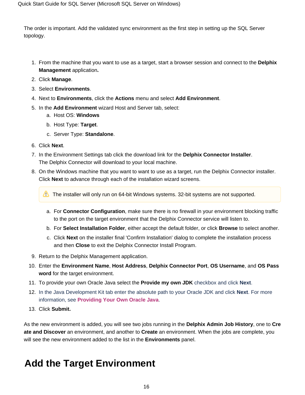The order is important. Add the validated sync environment as the first step in setting up the SQL Server topology.

- 1. From the machine that you want to use as a target, start a browser session and connect to the **Delphix Management** application**.**
- 2. Click **Manage**.
- 3. Select **Environments**.
- 4. Next to **Environments**, click the **Actions** menu and select **Add Environment**.
- 5. In the **Add Environment** wizard Host and Server tab, select:
	- a. Host OS: **Windows**
	- b. Host Type: **Target**.
	- c. Server Type: **Standalone**.
- 6. Click **Next**.
- 7. In the Environment Settings tab click the download link for the **Delphix Connector Installer**. The Delphix Connector will download to your local machine.
- 8. On the Windows machine that you want to want to use as a target, run the Delphix Connector installer. Click **Next** to advance through each of the installation wizard screens.

The installer will only run on 64-bit Windows systems. 32-bit systems are not supported.

- a. For **Connector Configuration**, make sure there is no firewall in your environment blocking traffic to the port on the target environment that the Delphix Connector service will listen to.
- b. For **Select Installation Folder**, either accept the default folder, or click **Browse** to select another.
- c. Click **Next** on the installer final 'Confirm Installation' dialog to complete the installation process and then **Close** to exit the Delphix Connector Install Program.
- 9. Return to the Delphix Management application.
- 10. Enter the **Environment Name**, **Host Address**, **Delphix Connector Port**, **OS Username**, and **OS Pass word** for the target environment.
- 11. To provide your own Oracle Java select the **Provide my own JDK** checkbox and click **Next**.
- 12. In the Java Development Kit tab enter the absolute path to your Oracle JDK and click **Next**. For more information, see **[Providing Your Own Oracle Java](https://docs.delphix.com/display/DOCSDEV/.Providing+Your+Own+Oracle+Java+vKryptonMaint)**.
- 13. Click **Submit.**

As the new environment is added, you will see two jobs running in the **Delphix Admin Job History**, one to **Cre ate and Discover** an environment, and another to **Create** an environment. When the jobs are complete, you will see the new environment added to the list in the **Environments** panel.

## <span id="page-15-0"></span>**Add the Target Environment**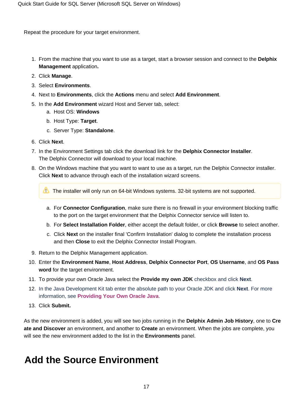Repeat the procedure for your target environment.

- 1. From the machine that you want to use as a target, start a browser session and connect to the **Delphix Management** application**.**
- 2. Click **Manage**.
- 3. Select **Environments**.
- 4. Next to **Environments**, click the **Actions** menu and select **Add Environment**.
- 5. In the **Add Environment** wizard Host and Server tab, select:
	- a. Host OS: **Windows**
	- b. Host Type: **Target**.
	- c. Server Type: **Standalone**.
- 6. Click **Next**.
- 7. In the Environment Settings tab click the download link for the **Delphix Connector Installer**. The Delphix Connector will download to your local machine.
- 8. On the Windows machine that you want to want to use as a target, run the Delphix Connector installer. Click **Next** to advance through each of the installation wizard screens.

The installer will only run on 64-bit Windows systems. 32-bit systems are not supported.

- a. For **Connector Configuration**, make sure there is no firewall in your environment blocking traffic to the port on the target environment that the Delphix Connector service will listen to.
- b. For **Select Installation Folder**, either accept the default folder, or click **Browse** to select another.
- c. Click **Next** on the installer final 'Confirm Installation' dialog to complete the installation process and then **Close** to exit the Delphix Connector Install Program.
- 9. Return to the Delphix Management application.
- 10. Enter the **Environment Name**, **Host Address**, **Delphix Connector Port**, **OS Username**, and **OS Pass word** for the target environment.
- 11. To provide your own Oracle Java select the **Provide my own JDK** checkbox and click **Next**.
- 12. In the Java Development Kit tab enter the absolute path to your Oracle JDK and click **Next**. For more information, see **[Providing Your Own Oracle Java](https://docs.delphix.com/display/DOCSDEV/.Providing+Your+Own+Oracle+Java+vKryptonMaint)**.
- 13. Click **Submit.**

As the new environment is added, you will see two jobs running in the **Delphix Admin Job History**, one to **Cre ate and Discover** an environment, and another to **Create** an environment. When the jobs are complete, you will see the new environment added to the list in the **Environments** panel.

## <span id="page-16-0"></span>**Add the Source Environment**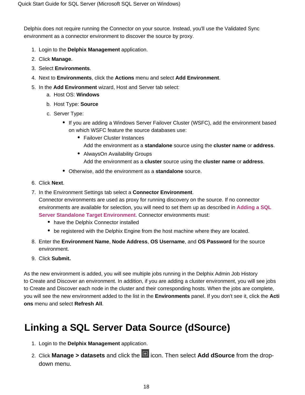Delphix does not require running the Connector on your source. Instead, you'll use the Validated Sync environment as a connector environment to discover the source by proxy.

- 1. Login to the **Delphix Management** application.
- 2. Click **Manage**.
- 3. Select **Environments**.
- 4. Next to **Environments**, click the **Actions** menu and select **Add Environment**.
- 5. In the **Add Environment** wizard, Host and Server tab select:
	- a. Host OS: **Windows**
	- b. Host Type: **Source**
	- c. Server Type:
		- If you are adding a Windows Server Failover Cluster (WSFC), add the environment based on which WSFC feature the source databases use:
			- Failover Cluster Instances Add the environment as a **standalone** source using the **cluster name** or **address**.
				- AlwaysOn Availability Groups Add the environment as a **cluster** source using the **cluster name** or **address**.
		- Otherwise, add the environment as a **standalone** source.
- 6. Click **Next**.
- 7. In the Environment Settings tab select a **Connector Environment**.

Connector environments are used as proxy for running discovery on the source. If no connector environments are available for selection, you will need to set them up as described in **[Adding a SQL](https://docs.delphix.com/display/DOCS537/Adding+a+SQL+Server+Standalone+Target+Environment)  [Server Standalone Target Environment](https://docs.delphix.com/display/DOCS537/Adding+a+SQL+Server+Standalone+Target+Environment)**. Connector environments must:

- have the Delphix Connector installed
- be registered with the Delphix Engine from the host machine where they are located.
- 8. Enter the **Environment Name**, **Node Address**, **OS Username**, and **OS Password** for the source environment.
- 9. Click **Submit.**

As the new environment is added, you will see multiple jobs running in the Delphix Admin Job History to Create and Discover an environment. In addition, if you are adding a cluster environment, you will see jobs to Create and Discover each node in the cluster and their corresponding hosts. When the jobs are complete, you will see the new environment added to the list in the **Environments** panel. If you don't see it, click the **Acti ons** menu and select **Refresh All**.

## <span id="page-17-0"></span>**Linking a SQL Server Data Source (dSource)**

- 1. Login to the **Delphix Management** application.
- 2. Click **Manage > datasets** and click the **induced** icon. Then select **Add dSource** from the dropdown menu.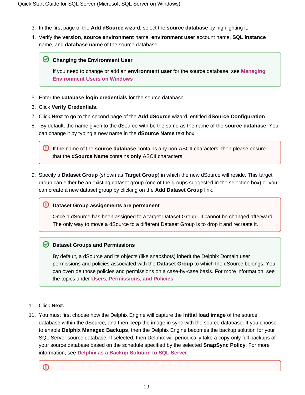- 3. In the first page of the **Add dSource** wizard, select the **source database** by highlighting it.
- 4. Verify the **version**, **source environment** name, **environment user** account name, **SQL instance** name, and **database name** of the source database.

#### **C** Changing the Environment User

If you need to change or add an **environment user** for the source database, see **[Managing](https://docs.delphix.com/display/DOCS537/Managing+Environment+Users+on+Windows)  [Environment Users on Windows](https://docs.delphix.com/display/DOCS537/Managing+Environment+Users+on+Windows)** .

- 5. Enter the **database login credentials** for the source database.
- 6. Click **Verify Credentials**.
- 7. Click **Next** to go to the second page of the **Add dSource** wizard, entitled **dSource Configuration**.
- 8. By default, the name given to the dSource with be the same as the name of the **source database**. You can change it by typing a new name in the **dSource Name** text box.

If the name of the **source database** contains any non-ASCII characters, then please ensure that the **dSource Name** contains **only** ASCII characters.

9. Specify a **Dataset Group** (shown as **Target Group**) in which the new dSource will reside. This target group can either be an existing dataset group (one of the groups suggested in the selection box) or you can create a new dataset group by clicking on the **Add Dataset Group** link.

#### **Dataset Group assignments are permanent**

Once a dSource has been assigned to a target Dataset Group, it cannot be changed afterward. The only way to move a dSource to a different Dataset Group is to drop it and recreate it.

#### **Dataset Groups and Permissions**

By default, a dSource and its objects (like snapshots) inherit the Delphix Domain user permissions and policies associated with the **Dataset Group** to which the dSource belongs. You can override those policies and permissions on a case-by-case basis. For more information, see the topics under **[Users, Permissions, and Policies](https://docs.delphix.com/display/DOCS537/Users%2C+Permissions%2C+and+Policies)**.

#### 10. Click **Next.**

11. You must first choose how the Delphix Engine will capture the **initial load image** of the source database within the dSource, and then keep the image in sync with the source database. If you choose to enable **Delphix Managed Backups**, then the Delphix Engine becomes the backup solution for your SQL Server source database. If selected, then Delphix will periodically take a copy-only full backups of your source database based on the schedule specified by the selected **SnapSync Policy**. For more information, see **[Delphix as a Backup Solution to SQL Server](https://docs.delphix.com/display/DOCSDEV/Delphix+as+a+Backup+Solution+to+SQL+Server)**.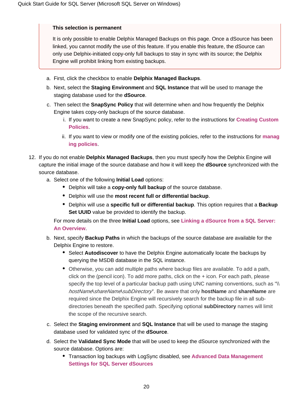#### **This selection is permanent**

It is only possible to enable Delphix Managed Backups on this page. Once a dSource has been linked, you cannot modify the use of this feature. If you enable this feature, the dSource can only use Delphix-initiated copy-only full backups to stay in sync with its source; the Delphix Engine will prohibit linking from existing backups.

- a. First, click the checkbox to enable **Delphix Managed Backups**.
- b. Next, select the **Staging Environment** and **SQL Instance** that will be used to manage the staging database used for the **dSource**.
- c. Then select the **SnapSync Policy** that will determine when and how frequently the Delphix Engine takes copy-only backups of the source database.
	- i. If you want to create a new SnapSync policy, refer to the instructions for **[Creating Custom](https://docs.delphix.com/display/DOCSDEV/Creating+Custom+Policies)  [Policies](https://docs.delphix.com/display/DOCSDEV/Creating+Custom+Policies)**.
	- ii. If you want to view or modify one of the existing policies, refer to the instructions for **[manag](https://docs.delphix.com/display/DOCSDEV/Managing+Policies) [ing policies](https://docs.delphix.com/display/DOCSDEV/Managing+Policies)**.
- 12. If you do not enable **Delphix Managed Backups**, then you must specify how the Delphix Engine will capture the initial image of the source database and how it will keep the **dSource** synchronized with the source database.
	- a. Select one of the following **Initial Load** options:
		- Delphix will take a **copy-only full backup** of the source database.
		- Delphix will use the **most recent full or differential backup**.
		- Delphix will use a **specific full or differential backup**. This option requires that a **Backup Set UUID** value be provided to identify the backup.

For more details on the three **Initial Load** options, see **[Linking a dSource from a SQL Server:](https://docs.delphix.com/display/DOCS537/Linking+a+dSource+from+a+SQL+Server%3A+An+Overview)  [An Overview](https://docs.delphix.com/display/DOCS537/Linking+a+dSource+from+a+SQL+Server%3A+An+Overview)**.

- b. Next, specify **Backup Paths** in which the backups of the source database are available for the Delphix Engine to restore.
	- **Select Autodiscover** to have the Delphix Engine automatically locate the backups by querying the MSDB database in the SQL instance.
	- Otherwise, you can add multiple paths where backup files are available. To add a path, click on the (pencil icon). To add more paths, click on the + icon. For each path, please specify the top level of a particular backup path using UNC naming conventions, such as "\\ hostName\shareName\subDirectory". Be aware that only **hostName** and **shareName** are required since the Delphix Engine will recursively search for the backup file in all subdirectories beneath the specified path. Specifying optional **subDirectory** names will limit the scope of the recursive search.
- c. Select the **Staging environment** and **SQL Instance** that will be used to manage the staging database used for validated sync of the **dSource**.
- d. Select the **Validated Sync Mode** that will be used to keep the dSource synchronized with the source database. Options are:
	- Transaction log backups with LogSync disabled, see **[Advanced Data Management](https://docs.delphix.com/display/DOCS537/Advanced+Data+Management+Settings+for+SQL+Server+dSources)  [Settings for SQL Server dSources](https://docs.delphix.com/display/DOCS537/Advanced+Data+Management+Settings+for+SQL+Server+dSources)**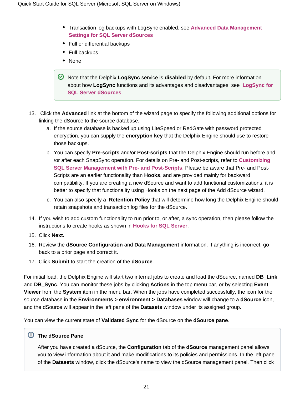- Transaction log backups with LogSync enabled, see **[Advanced Data Management](https://docs.delphix.com/display/DOCS537/Advanced+Data+Management+Settings+for+SQL+Server+dSources)  [Settings for SQL Server dSources](https://docs.delphix.com/display/DOCS537/Advanced+Data+Management+Settings+for+SQL+Server+dSources)**
- Full or differential backups
- Full backups
- None

Note that the Delphix **LogSync** service is **disabled** by default. For more information about how **LogSync** functions and its advantages and disadvantages, see **[LogSync for](https://docs.delphix.com/display/DOCSDEV/Advanced+Data+Management+Settings+for+SQL+Server+dSources#AdvancedDataManagementSettingsforSQLServerdSources-LogSyncforSQLServerdSources)  [SQL Server dSources](https://docs.delphix.com/display/DOCSDEV/Advanced+Data+Management+Settings+for+SQL+Server+dSources#AdvancedDataManagementSettingsforSQLServerdSources-LogSyncforSQLServerdSources)**.

- 13. Click the **Advanced** link at the bottom of the wizard page to specify the following additional options for linking the dSource to the source database.
	- a. If the source database is backed up using LiteSpeed or RedGate with password protected encryption, you can supply the **encryption key** that the Delphix Engine should use to restore those backups.
	- b. You can specify **Pre-scripts** and/or **Post-scripts** that the Delphix Engine should run before and /or after each SnapSync operation. For details on Pre- and Post-scripts, refer to **[Customizing](https://docs.delphix.com/display/DOCS537/Using+Pre-+and+Post-Scripts+with+SQL+Server+dSources)  [SQL Server Management with Pre- and Post-Scripts](https://docs.delphix.com/display/DOCS537/Using+Pre-+and+Post-Scripts+with+SQL+Server+dSources)**. Please be aware that Pre- and Post-Scripts are an earlier functionality than **Hooks**, and are provided mainly for backward compatibility. If you are creating a new dSource and want to add functional customizations, it is better to specify that functionality using Hooks on the next page of the Add dSource wizard.
	- c. You can also specify a **Retention Policy** that will determine how long the Delphix Engine should retain snapshots and transaction log files for the dSource.
- 14. If you wish to add custom functionality to run prior to, or after, a sync operation, then please follow the instructions to create hooks as shown in **[Hooks for SQL Server](https://docs.delphix.com/display/DOCS537/Hooks+for+SQL+Server)**.
- 15. Click **Next.**
- 16. Review the **dSource Configuration** and **Data Management** information. If anything is incorrect, go back to a prior page and correct it.
- 17. Click **Submit** to start the creation of the **dSource**.

For initial load, the Delphix Engine will start two internal jobs to create and load the dSource, named **DB\_Link** and **DB\_Sync**. You can monitor these jobs by clicking **Actions** in the top menu bar, or by selecting **Event Viewer** from the **System** item in the menu bar. When the jobs have completed successfully, the icon for the source database in the **Environments > environment > Databases** window will change to a **dSource** icon, and the dSource will appear in the left pane of the **Datasets** window under its assigned group.

You can view the current state of **Validated Sync** for the dSource on the **dSource pane**.

#### **The dSource Pane**

After you have created a dSource, the **Configuration** tab of the **dSource** management panel allows you to view information about it and make modifications to its policies and permissions. In the left pane of the **Datasets** window, click the dSource's name to view the dSource management panel. Then click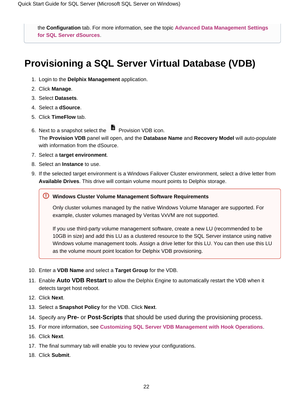the **Configuration** tab. For more information, see the topic **[Advanced Data Management Settings](https://docs.delphix.com/display/DOCS537/Advanced+Data+Management+Settings+for+SQL+Server+dSources)  [for SQL Server dSources](https://docs.delphix.com/display/DOCS537/Advanced+Data+Management+Settings+for+SQL+Server+dSources)**.

## <span id="page-21-0"></span>**Provisioning a SQL Server Virtual Database (VDB)**

- 1. Login to the **Delphix Management** application.
- 2. Click **Manage**.
- 3. Select **Datasets**.
- 4. Select a **dSource**.
- 5. Click **TimeFlow** tab.
- 6. Next to a snapshot select the Provision VDB icon. The **Provision VDB** panel will open, and the **Database Name** and **Recovery Model** will auto-populate with information from the dSource.
- 7. Select a **target environment**.
- 8. Select an **Instance** to use.
- 9. If the selected target environment is a Windows Failover Cluster environment, select a drive letter from **Available Drives**. This drive will contain volume mount points to Delphix storage.

#### **Windows Cluster Volume Management Software Requirements**

Only cluster volumes managed by the native Windows Volume Manager are supported. For example, cluster volumes managed by Veritas VxVM are not supported.

If you use third-party volume management software, create a new LU (recommended to be 10GB in size) and add this LU as a clustered resource to the SQL Server instance using native Windows volume management tools. Assign a drive letter for this LU. You can then use this LU as the volume mount point location for Delphix VDB provisioning.

- 10. Enter a **VDB Name** and select a **Target Group** for the VDB.
- 11. Enable **Auto VDB Restart** to allow the Delphix Engine to automatically restart the VDB when it detects target host reboot.
- 12. Click **Next**.
- 13. Select a **Snapshot Policy** for the VDB. Click **Next**.
- 14. Specify any **Pre-** or **Post-Scripts** that should be used during the provisioning process.
- 15. For more information, see **[Customizing SQL Server VDB Management with Hook Operations](https://docs.delphix.com/display/DOCS537/Customizing+SQL+Server+VDB+Management+with+Hook+Operations)**.
- 16. Click **Next**.
- 17. The final summary tab will enable you to review your configurations.
- 18. Click **Submit**.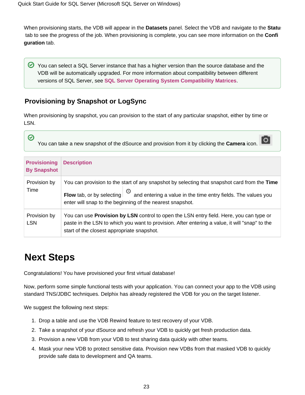When provisioning starts, the VDB will appear in the **Datasets** panel. Select the VDB and navigate to the **Status** tab to see the progress of the job. When provisioning is complete, you can see more information on the **Confi guration** tab.

You can select a SQL Server instance that has a higher version than the source database and the VDB will be automatically upgraded. For more information about compatibility between different versions of SQL Server, see **[SQL Server Operating System Compatibility Matrices](https://docs.delphix.com/display/DOCS537/Windows+Server+OS+and+SQL+Server+DBMS+Compatibility+Matrices)**.

### <span id="page-22-0"></span>**Provisioning by Snapshot or LogSync**

When provisioning by snapshot, you can provision to the start of any particular snapshot, either by time or LSN.

| $\bullet$<br>۱o<br>You can take a new snapshot of the dSource and provision from it by clicking the Camera icon. |                                                                                                                                                                                                                                                                 |
|------------------------------------------------------------------------------------------------------------------|-----------------------------------------------------------------------------------------------------------------------------------------------------------------------------------------------------------------------------------------------------------------|
| <b>Provisioning</b><br><b>By Snapshot</b>                                                                        | <b>Description</b>                                                                                                                                                                                                                                              |
| Provision by<br>Time                                                                                             | You can provision to the start of any snapshot by selecting that snapshot card from the Time<br>Flow tab, or by selecting $\bigcirc$ and entering a value in the time entry fields. The values you<br>enter will snap to the beginning of the nearest snapshot. |
| Provision by<br><b>LSN</b>                                                                                       | You can use <b>Provision by LSN</b> control to open the LSN entry field. Here, you can type or<br>paste in the LSN to which you want to provision. After entering a value, it will "snap" to the<br>start of the closest appropriate snapshot.                  |

## <span id="page-22-1"></span>**Next Steps**

 $\overline{\phantom{a}}$ 

Congratulations! You have provisioned your first virtual database!

Now, perform some simple functional tests with your application. You can connect your app to the VDB using standard TNS/JDBC techniques. Delphix has already registered the VDB for you on the target listener.

We suggest the following next steps:

- 1. Drop a table and use the VDB Rewind feature to test recovery of your VDB.
- 2. Take a snapshot of your dSource and refresh your VDB to quickly get fresh production data.
- 3. Provision a new VDB from your VDB to test sharing data quickly with other teams.
- 4. Mask your new VDB to protect sensitive data. Provision new VDBs from that masked VDB to quickly provide safe data to development and QA teams.